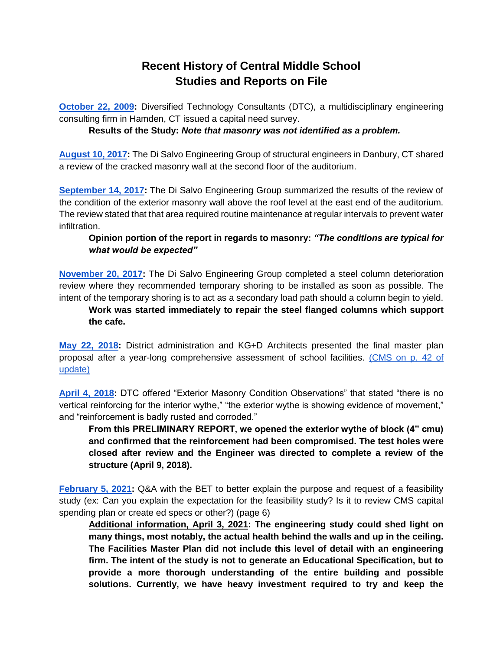## **Recent History of Central Middle School Studies and Reports on File**

**[October 22, 2009:](https://resources.finalsite.net/images/v1644432233/greenwich/lszsb9ngswsabn39mk2w/2009-10-22CapitalNeedsSurvey.pdf)** Diversified Technology Consultants (DTC), a multidisciplinary engineering consulting firm in Hamden, CT issued a capital need survey.

**Results of the Study:** *Note that masonry was not identified as a problem.*

**[August 10, 2017:](https://resources.finalsite.net/images/v1644432232/greenwich/oltknih0aqy6faen5zel/2017-08-10CrackedMasonryWall.pdf)** The Di Salvo Engineering Group of structural engineers in Danbury, CT shared a review of the cracked masonry wall at the second floor of the auditorium.

**[September 14, 2017:](https://resources.finalsite.net/images/v1644432232/greenwich/owj6rzpfano4gm09vflk/2017-09-14ExteriorWallReview.pdf)** The Di Salvo Engineering Group summarized the results of the review of the condition of the exterior masonry wall above the roof level at the east end of the auditorium. The review stated that that area required routine maintenance at regular intervals to prevent water infiltration.

## **Opinion portion of the report in regards to masonry:** *"The conditions are typical for what would be expected"*

**[November 20, 2017:](https://resources.finalsite.net/images/v1644432232/greenwich/dxrrnf00dtv1xaudtpms/2017-11-20SteelColumnDeteriorationReview.pdf)** The Di Salvo Engineering Group completed a steel column deterioration review where they recommended temporary shoring to be installed as soon as possible. The intent of the temporary shoring is to act as a secondary load path should a column begin to yield.

**Work was started immediately to repair the steel flanged columns which support the cafe.**

**[May 22, 2018:](https://www.greenwichschools.org/departments/facilities-rentals/facilities-master-plan)** District administration and KG+D Architects presented the final master plan proposal after a year-long comprehensive assessment of school facilities. [\(CMS on p. 42 of](https://resources.finalsite.net/images/v1614282533/greenwich/hwogktk71pfebuxpc5fd/GreenwichMasterPlanUpdate2019_.pdf)  [update\)](https://resources.finalsite.net/images/v1614282533/greenwich/hwogktk71pfebuxpc5fd/GreenwichMasterPlanUpdate2019_.pdf)

**[April 4, 2018:](https://resources.finalsite.net/images/v1644432232/greenwich/mrbsweluvj22hjlucff9/2018-04-04ExteriorMasonryConditionObservations.pdf)** DTC offered "Exterior Masonry Condition Observations" that stated "there is no vertical reinforcing for the interior wythe," "the exterior wythe is showing evidence of movement," and "reinforcement is badly rusted and corroded."

**From this PRELIMINARY REPORT, we opened the exterior wythe of block (4" cmu) and confirmed that the reinforcement had been compromised. The test holes were closed after review and the Engineer was directed to complete a review of the structure (April 9, 2018).** 

**[February 5, 2021:](https://resources.finalsite.net/images/v1613082313/greenwich/xgcxfcmtzaifwdgihdh7/QAfromBET-02052021.pdf)** Q&A with the BET to better explain the purpose and request of a feasibility study (ex: Can you explain the expectation for the feasibility study? Is it to review CMS capital spending plan or create ed specs or other?) (page 6)

**Additional information, April 3, 2021: The engineering study could shed light on many things, most notably, the actual health behind the walls and up in the ceiling. The Facilities Master Plan did not include this level of detail with an engineering firm. The intent of the study is not to generate an Educational Specification, but to provide a more thorough understanding of the entire building and possible solutions. Currently, we have heavy investment required to try and keep the**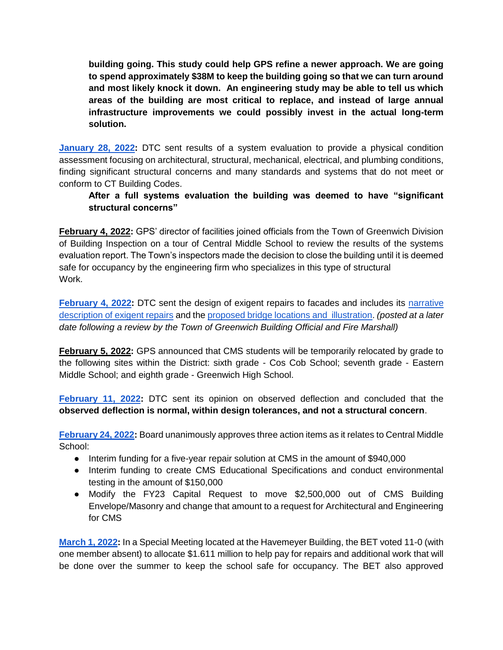**building going. This study could help GPS refine a newer approach. We are going to spend approximately \$38M to keep the building going so that we can turn around and most likely knock it down. An engineering study may be able to tell us which areas of the building are most critical to replace, and instead of large annual infrastructure improvements we could possibly invest in the actual long-term solution.**

**[January 28, 2022:](https://resources.finalsite.net/images/v1643826524/greenwich/ucdoqvlpkryqwrwliohs/GreenwichCentralMiddleSchoolSystemsEvaluationFinalFeb12022.pdf)** DTC sent results of a system evaluation to provide a physical condition assessment focusing on architectural, structural, mechanical, electrical, and plumbing conditions, finding significant structural concerns and many standards and systems that do not meet or conform to CT Building Codes.

## **After a full systems evaluation the building was deemed to have "significant structural concerns"**

**February 4, 2022:** GPS' director of facilities joined officials from the Town of Greenwich Division of Building Inspection on a tour of Central Middle School to review the results of the systems evaluation report. The Town's inspectors made the decision to close the building until it is deemed safe for occupancy by the engineering firm who specializes in this type of structural Work.

**[February 4, 2022:](https://resources.finalsite.net/images/v1644604176/greenwich/xhqmbqvqsvgp4ofviqkn/2022-02-04TemporaryShoringandProtectionSafetyandFacadeRepairs.pdf)** DTC sent the design of exigent repairs to facades and includes its [narrative](https://resources.finalsite.net/images/v1644604177/greenwich/qlfb5krzq3yni96ljnub/2022-02-04NarrativeDescriptionofExigentRepairs.pdf)  [description of exigent repairs](https://resources.finalsite.net/images/v1644604177/greenwich/qlfb5krzq3yni96ljnub/2022-02-04NarrativeDescriptionofExigentRepairs.pdf) and th[e proposed bridge locations and illustration.](https://resources.finalsite.net/images/v1644604177/greenwich/j26l92gnvmbpwjcmmeiy/2022-02-04BridgeLocationsandIllustration.pdf) *(posted at a later date following a review by the Town of Greenwich Building Official and Fire Marshall)*

**February 5, 2022:** GPS announced that CMS students will be temporarily relocated by grade to the following sites within the District: sixth grade - Cos Cob School; seventh grade - Eastern Middle School; and eighth grade - Greenwich High School.

**[February 11, 2022:](https://resources.finalsite.net/images/v1644602879/greenwich/jlwgq0ijh0nuwiwcutys/2022-02-11CMSDeflection.pdf)** DTC sent its opinion on observed deflection and concluded that the **observed deflection is normal, within design tolerances, and not a structural concern**.

**[February 24, 2022:](https://go.boarddocs.com/ct/greenwich/Board.nsf/Public)** Board unanimously approves three action items as it relates to Central Middle School:

- Interim funding for a five-year repair solution at CMS in the amount of \$940,000
- Interim funding to create CMS Educational Specifications and conduct environmental testing in the amount of \$150,000
- Modify the FY23 Capital Request to move \$2,500,000 out of CMS Building Envelope/Masonry and change that amount to a request for Architectural and Engineering for CMS

**[March 1, 2022:](https://youtu.be/EHw3wpGUoew)** In a Special Meeting located at the Havemeyer Building, the BET voted 11-0 (with one member absent) to allocate \$1.611 million to help pay for repairs and additional work that will be done over the summer to keep the school safe for occupancy. The BET also approved